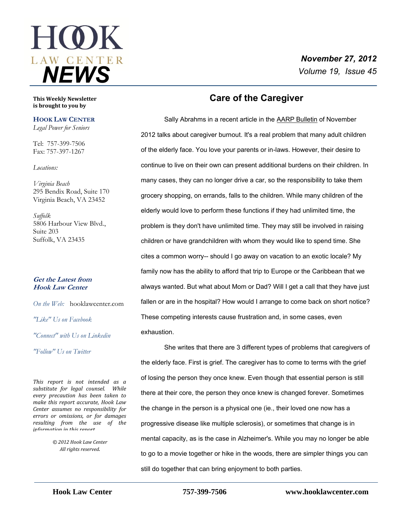# **HOK** *NEWS*

# *November 27, 2012 Volume 19, Issue 45*

**This Weekly Newsletter is brought to you by** 

#### **HOOK LAW CENTER**

*Legal Power for Seniors*

Tel: 757-399-7506 Fax: 757-397-1267

#### *Locations:*

*Virginia Beach* 295 Bendix Road, Suite 170 Virginia Beach, VA 23452

*Suffolk* 5806 Harbour View Blvd., Suite 203 Suffolk, VA 23435

#### **Get the Latest from Hook Law Center**

*On the Web:* [hooklawcenter.com](http://www.hooklawcenter.com/)

*"Like" Us on Facebook*

*"Connect" with Us on Linkedin*

*"Follow" Us on Twitter*

*This report is not intended as a substitute for legal counsel. While every precaution has been taken to make this report accurate, Hook Law Center assumes no responsibility for errors or omissions, or for damages resulting from the use of the information in this report.*

> *© 2012 Hook Law Center All rights reserved.*

# **Care of the Caregiver**

 Sally Abrahms in a recent article in the AARP Bulletin of November 2012 talks about caregiver burnout. It's a real problem that many adult children of the elderly face. You love your parents or in-laws. However, their desire to continue to live on their own can present additional burdens on their children. In many cases, they can no longer drive a car, so the responsibility to take them grocery shopping, on errands, falls to the children. While many children of the elderly would love to perform these functions if they had unlimited time, the problem is they don't have unlimited time. They may still be involved in raising children or have grandchildren with whom they would like to spend time. She cites a common worry-- should I go away on vacation to an exotic locale? My family now has the ability to afford that trip to Europe or the Caribbean that we always wanted. But what about Mom or Dad? Will I get a call that they have just fallen or are in the hospital? How would I arrange to come back on short notice? These competing interests cause frustration and, in some cases, even exhaustion.

She writes that there are 3 different types of problems that caregivers of the elderly face. First is grief. The caregiver has to come to terms with the grief of losing the person they once knew. Even though that essential person is still there at their core, the person they once knew is changed forever. Sometimes the change in the person is a physical one (ie., their loved one now has a progressive disease like multiple sclerosis), or sometimes that change is in mental capacity, as is the case in Alzheimer's. While you may no longer be able to go to a movie together or hike in the woods, there are simpler things you can still do together that can bring enjoyment to both parties.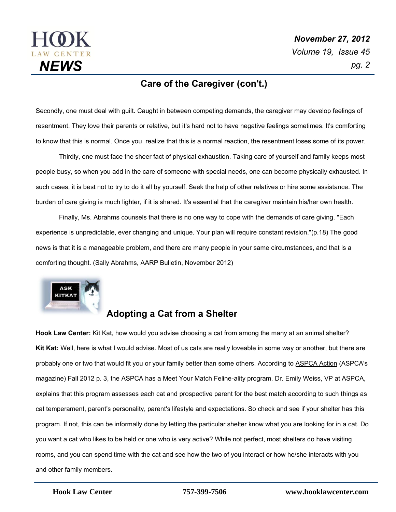

## **Care of the Caregiver (con't.)**

Secondly, one must deal with guilt. Caught in between competing demands, the caregiver may develop feelings of resentment. They love their parents or relative, but it's hard not to have negative feelings sometimes. It's comforting to know that this is normal. Once you realize that this is a normal reaction, the resentment loses some of its power.

Thirdly, one must face the sheer fact of physical exhaustion. Taking care of yourself and family keeps most people busy, so when you add in the care of someone with special needs, one can become physically exhausted. In such cases, it is best not to try to do it all by yourself. Seek the help of other relatives or hire some assistance. The burden of care giving is much lighter, if it is shared. It's essential that the caregiver maintain his/her own health.

Finally, Ms. Abrahms counsels that there is no one way to cope with the demands of care giving. "Each experience is unpredictable, ever changing and unique. Your plan will require constant revision."(p.18) The good news is that it is a manageable problem, and there are many people in your same circumstances, and that is a comforting thought. (Sally Abrahms, AARP Bulletin, November 2012)



# **Adopting a Cat from a Shelter**

**Hook Law Center:** Kit Kat, how would you advise choosing a cat from among the many at an animal shelter? **Kit Kat:** Well, here is what I would advise. Most of us cats are really loveable in some way or another, but there are probably one or two that would fit you or your family better than some others. According to ASPCA Action (ASPCA's magazine) Fall 2012 p. 3, the ASPCA has a Meet Your Match Feline-ality program. Dr. Emily Weiss, VP at ASPCA, explains that this program assesses each cat and prospective parent for the best match according to such things as cat temperament, parent's personality, parent's lifestyle and expectations. So check and see if your shelter has this program. If not, this can be informally done by letting the particular shelter know what you are looking for in a cat. Do you want a cat who likes to be held or one who is very active? While not perfect, most shelters do have visiting rooms, and you can spend time with the cat and see how the two of you interact or how he/she interacts with you and other family members.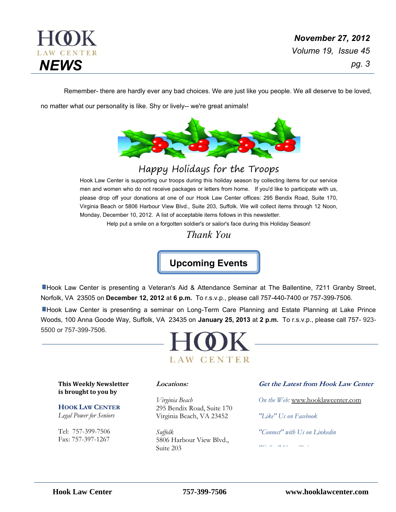

Remember- there are hardly ever any bad choices. We are just like you people. We all deserve to be loved,

no matter what our personality is like. Shy or lively-- we're great animals!



# Happy Holidays for the Troops

Hook Law Center is supporting our troops during this holiday season by collecting items for our service men and women who do not receive packages or letters from home. If you'd like to participate with us, please drop off your donations at one of our Hook Law Center offices: 295 Bendix Road, Suite 170, Virginia Beach or 5806 Harbour View Blvd., Suite 203, Suffolk. We will collect items through 12 Noon, Monday, December 10, 2012. A list of acceptable items follows in this newsletter.

Help put a smile on a forgotten soldier's or sailor's face during this Holiday Season!

*Thank You*

**Upcoming Events**

Hook Law Center is presenting a Veteran's Aid & Attendance Seminar at The Ballentine, 7211 Granby Street, Norfolk, VA 23505 on **December 12, 2012** at **6 p.m.** To r.s.v.p., please call 757-440-7400 or 757-399-7506.

**EHook Law Center is presenting a seminar on Long-Term Care Planning and Estate Planning at Lake Prince** Woods, 100 Anna Goode Way, Suffolk, VA 23435 on **January 25, 2013** at **2 p.m.** To r.s.v.p., please call 757- 923- 5500 or 757-399-7506.



**This Weekly Newsletter is brought to you by** 

**HOOK LAW CENTER** *Legal Power for Seniors*

Tel: 757-399-7506 Fax: 757-397-1267

#### **Locations:**

*Virginia Beach* 295 Bendix Road, Suite 170 Virginia Beach, VA 23452

*Suffolk* 5806 Harbour View Blvd., Suite 203

#### **Get the Latest from Hook Law Center**

*On the Web:* [www.hooklawcenter.com](http://www.hooklawcenter.com/)

*"Like" Us on Facebook*

*"Connect" with Us on Linkedin*

*"Follow" Us on Twitter*